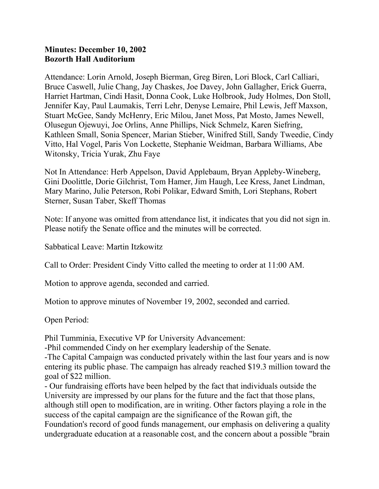## **Minutes: December 10, 2002 Bozorth Hall Auditorium**

Attendance: Lorin Arnold, Joseph Bierman, Greg Biren, Lori Block, Carl Calliari, Bruce Caswell, Julie Chang, Jay Chaskes, Joe Davey, John Gallagher, Erick Guerra, Harriet Hartman, Cindi Hasit, Donna Cook, Luke Holbrook, Judy Holmes, Don Stoll, Jennifer Kay, Paul Laumakis, Terri Lehr, Denyse Lemaire, Phil Lewis, Jeff Maxson, Stuart McGee, Sandy McHenry, Eric Milou, Janet Moss, Pat Mosto, James Newell, Olusegun Ojewuyi, Joe Orlins, Anne Phillips, Nick Schmelz, Karen Siefring, Kathleen Small, Sonia Spencer, Marian Stieber, Winifred Still, Sandy Tweedie, Cindy Vitto, Hal Vogel, Paris Von Lockette, Stephanie Weidman, Barbara Williams, Abe Witonsky, Tricia Yurak, Zhu Faye

Not In Attendance: Herb Appelson, David Applebaum, Bryan Appleby-Wineberg, Gini Doolittle, Dorie Gilchrist, Tom Hamer, Jim Haugh, Lee Kress, Janet Lindman, Mary Marino, Julie Peterson, Robi Polikar, Edward Smith, Lori Stephans, Robert Sterner, Susan Taber, Skeff Thomas

Note: If anyone was omitted from attendance list, it indicates that you did not sign in. Please notify the Senate office and the minutes will be corrected.

Sabbatical Leave: Martin Itzkowitz

Call to Order: President Cindy Vitto called the meeting to order at 11:00 AM.

Motion to approve agenda, seconded and carried.

Motion to approve minutes of November 19, 2002, seconded and carried.

Open Period:

Phil Tumminia, Executive VP for University Advancement:

-Phil commended Cindy on her exemplary leadership of the Senate.

-The Capital Campaign was conducted privately within the last four years and is now entering its public phase. The campaign has already reached \$19.3 million toward the goal of \$22 million.

- Our fundraising efforts have been helped by the fact that individuals outside the University are impressed by our plans for the future and the fact that those plans, although still open to modification, are in writing. Other factors playing a role in the success of the capital campaign are the significance of the Rowan gift, the Foundation's record of good funds management, our emphasis on delivering a quality undergraduate education at a reasonable cost, and the concern about a possible "brain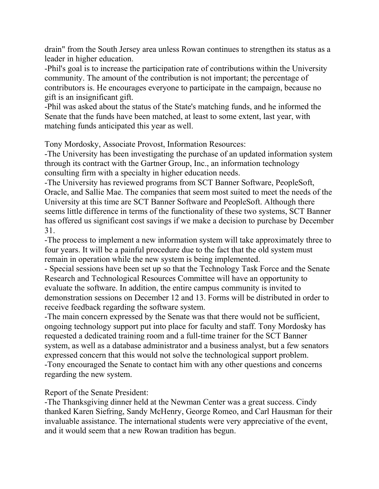drain" from the South Jersey area unless Rowan continues to strengthen its status as a leader in higher education.

-Phil's goal is to increase the participation rate of contributions within the University community. The amount of the contribution is not important; the percentage of contributors is. He encourages everyone to participate in the campaign, because no gift is an insignificant gift.

-Phil was asked about the status of the State's matching funds, and he informed the Senate that the funds have been matched, at least to some extent, last year, with matching funds anticipated this year as well.

Tony Mordosky, Associate Provost, Information Resources:

-The University has been investigating the purchase of an updated information system through its contract with the Gartner Group, Inc., an information technology consulting firm with a specialty in higher education needs.

-The University has reviewed programs from SCT Banner Software, PeopleSoft, Oracle, and Sallie Mae. The companies that seem most suited to meet the needs of the University at this time are SCT Banner Software and PeopleSoft. Although there seems little difference in terms of the functionality of these two systems, SCT Banner has offered us significant cost savings if we make a decision to purchase by December 31.

-The process to implement a new information system will take approximately three to four years. It will be a painful procedure due to the fact that the old system must remain in operation while the new system is being implemented.

- Special sessions have been set up so that the Technology Task Force and the Senate Research and Technological Resources Committee will have an opportunity to evaluate the software. In addition, the entire campus community is invited to demonstration sessions on December 12 and 13. Forms will be distributed in order to receive feedback regarding the software system.

-The main concern expressed by the Senate was that there would not be sufficient, ongoing technology support put into place for faculty and staff. Tony Mordosky has requested a dedicated training room and a full-time trainer for the SCT Banner system, as well as a database administrator and a business analyst, but a few senators expressed concern that this would not solve the technological support problem. -Tony encouraged the Senate to contact him with any other questions and concerns regarding the new system.

Report of the Senate President:

-The Thanksgiving dinner held at the Newman Center was a great success. Cindy thanked Karen Siefring, Sandy McHenry, George Romeo, and Carl Hausman for their invaluable assistance. The international students were very appreciative of the event, and it would seem that a new Rowan tradition has begun.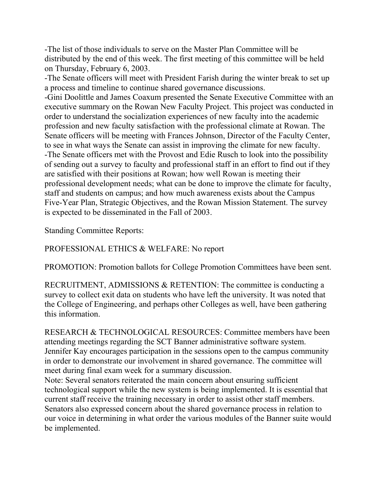-The list of those individuals to serve on the Master Plan Committee will be distributed by the end of this week. The first meeting of this committee will be held on Thursday, February 6, 2003.

-The Senate officers will meet with President Farish during the winter break to set up a process and timeline to continue shared governance discussions.

-Gini Doolittle and James Coaxum presented the Senate Executive Committee with an executive summary on the Rowan New Faculty Project. This project was conducted in order to understand the socialization experiences of new faculty into the academic profession and new faculty satisfaction with the professional climate at Rowan. The Senate officers will be meeting with Frances Johnson, Director of the Faculty Center, to see in what ways the Senate can assist in improving the climate for new faculty. -The Senate officers met with the Provost and Edie Rusch to look into the possibility of sending out a survey to faculty and professional staff in an effort to find out if they are satisfied with their positions at Rowan; how well Rowan is meeting their professional development needs; what can be done to improve the climate for faculty, staff and students on campus; and how much awareness exists about the Campus Five-Year Plan, Strategic Objectives, and the Rowan Mission Statement. The survey is expected to be disseminated in the Fall of 2003.

Standing Committee Reports:

PROFESSIONAL ETHICS & WELFARE: No report

PROMOTION: Promotion ballots for College Promotion Committees have been sent.

RECRUITMENT, ADMISSIONS & RETENTION: The committee is conducting a survey to collect exit data on students who have left the university. It was noted that the College of Engineering, and perhaps other Colleges as well, have been gathering this information.

RESEARCH & TECHNOLOGICAL RESOURCES: Committee members have been attending meetings regarding the SCT Banner administrative software system. Jennifer Kay encourages participation in the sessions open to the campus community in order to demonstrate our involvement in shared governance. The committee will meet during final exam week for a summary discussion.

Note: Several senators reiterated the main concern about ensuring sufficient technological support while the new system is being implemented. It is essential that current staff receive the training necessary in order to assist other staff members. Senators also expressed concern about the shared governance process in relation to our voice in determining in what order the various modules of the Banner suite would be implemented.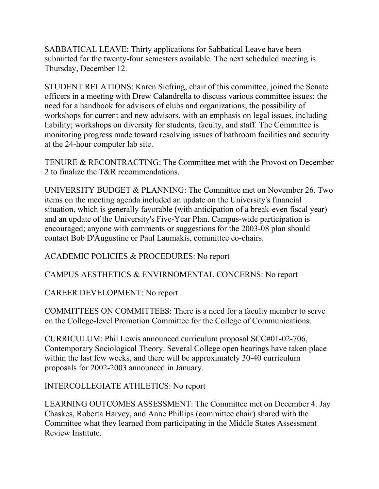SABBATICAL LEAVE: Thirty applications for Sabbatical Leave have been submitted for the twenty-four semesters available. The next scheduled meeting is Thursday, December 12.

STUDENT RELATIONS: Karen Siefring, chair of this committee, joined the Senate officers in a meeting with Drew Calandrella to discuss various committee issues: the need for a handbook for advisors of clubs and organizations; the possibility of workshops for current and new advisors, with an emphasis on legal issues, including liability; workshops on diversity for students, faculty, and staff. The Committee is monitoring progress made toward resolving issues of bathroom facilities and security at the 24-hour computer lab site.

TENURE & RECONTRACTING: The Committee met with the Provost on December 2 to finalize the T&R recommendations.

UNIVERSITY BUDGET & PLANNING: The Committee met on November 26. Two items on the meeting agenda included an update on the University's financial situation, which is generally favorable (with anticipation of a break-even fiscal year) and an update of the University's Five-Year Plan. Campus-wide participation is encouraged; anyone with comments or suggestions for the 2003-08 plan should contact Bob D'Augustine or Paul Laumakis, committee co-chairs.

ACADEMIC POLICIES & PROCEDURES: No report

CAMPUS AESTHETICS & ENVIRNOMENTAL CONCERNS: No report

CAREER DEVELOPMENT: No report

COMMITTEES ON COMMITTEES: There is a need for a faculty member to serve on the College-level Promotion Committee for the College of Communications.

CURRICULUM: Phil Lewis announced curriculum proposal SCC#01-02-706, Contemporary Sociological Theory. Several College open hearings have taken place within the last few weeks, and there will be approximately 30-40 curriculum proposals for 2002-2003 announced in January.

INTERCOLLEGIATE ATHLETICS: No report

LEARNING OUTCOMES ASSESSMENT: The Committee met on December 4. Jay Chaskes, Roberta Harvey, and Anne Phillips (committee chair) shared with the Committee what they learned from participating in the Middle States Assessment Review Institute.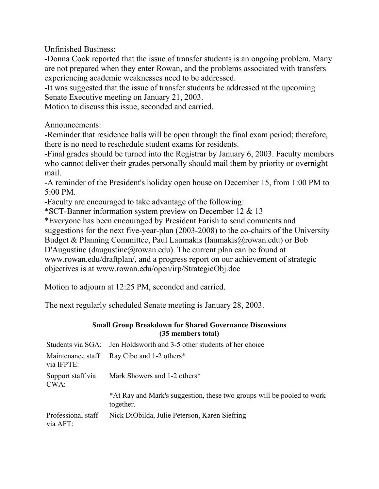Unfinished Business:

-Donna Cook reported that the issue of transfer students is an ongoing problem. Many are not prepared when they enter Rowan, and the problems associated with transfers experiencing academic weaknesses need to be addressed.

-It was suggested that the issue of transfer students be addressed at the upcoming Senate Executive meeting on January 21, 2003.

Motion to discuss this issue, seconded and carried.

Announcements:

-Reminder that residence halls will be open through the final exam period; therefore, there is no need to reschedule student exams for residents.

-Final grades should be turned into the Registrar by January 6, 2003. Faculty members who cannot deliver their grades personally should mail them by priority or overnight mail.

-A reminder of the President's holiday open house on December 15, from 1:00 PM to 5:00 PM.

-Faculty are encouraged to take advantage of the following:

\*SCT-Banner information system preview on December 12 & 13

\*Everyone has been encouraged by President Farish to send comments and suggestions for the next five-year-plan (2003-2008) to the co-chairs of the University Budget & Planning Committee, Paul Laumakis (laumakis@rowan.edu) or Bob D'Augustine (daugustine  $\omega$  rowan.edu). The current plan can be found at www.rowan.edu/draftplan/, and a progress report on our achievement of strategic objectives is at www.rowan.edu/open/irp/StrategicObj.doc

Motion to adjourn at 12:25 PM, seconded and carried.

The next regularly scheduled Senate meeting is January 28, 2003.

## **Small Group Breakdown for Shared Governance Discussions (35 members total)**

|                                 | Students via SGA: Jen Holdsworth and 3-5 other students of her choice               |
|---------------------------------|-------------------------------------------------------------------------------------|
| Maintenance staff<br>via IFPTE: | Ray Cibo and 1-2 others*                                                            |
| Support staff via<br>CWA:       | Mark Showers and 1-2 others*                                                        |
|                                 | *At Ray and Mark's suggestion, these two groups will be pooled to work<br>together. |
| Professional staff<br>via AFT:  | Nick DiObilda, Julie Peterson, Karen Siefring                                       |